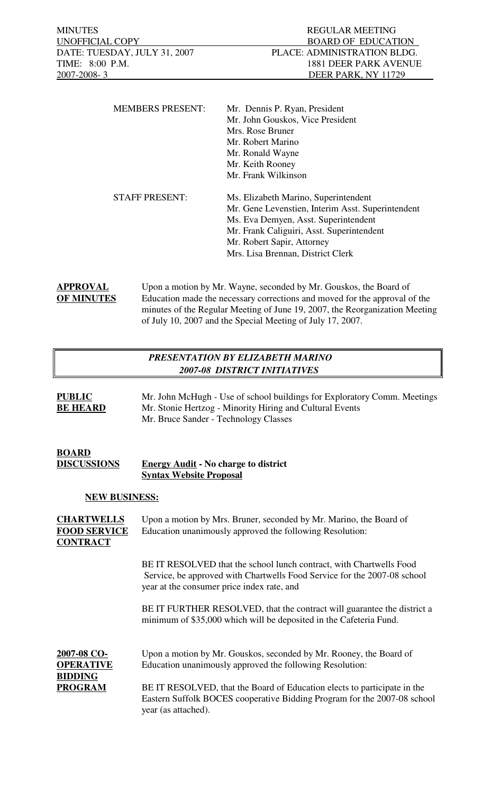| <b>MEMBERS PRESENT:</b> | Mr. Dennis P. Ryan, President                     |
|-------------------------|---------------------------------------------------|
|                         | Mr. John Gouskos, Vice President                  |
|                         | Mrs. Rose Bruner                                  |
|                         | Mr. Robert Marino                                 |
|                         | Mr. Ronald Wayne                                  |
|                         | Mr. Keith Rooney                                  |
|                         | Mr. Frank Wilkinson                               |
| <b>STAFF PRESENT:</b>   | Ms. Elizabeth Marino, Superintendent              |
|                         | Mr. Gene Levenstien, Interim Asst. Superintendent |
|                         | Ms. Eva Demyen, Asst. Superintendent              |
|                         | Mr. Frank Caliguiri, Asst. Superintendent         |
|                         | Mr. Robert Sapir, Attorney                        |
|                         | Mrs. Lisa Brennan, District Clerk                 |
|                         |                                                   |

**APPROVAL** Upon a motion by Mr. Wayne, seconded by Mr. Gouskos, the Board of **OF MINUTES** Education made the necessary corrections and moved for the approval of the minutes of the Regular Meeting of June 19, 2007, the Reorganization Meeting of July 10, 2007 and the Special Meeting of July 17, 2007.

# *PRESENTATION BY ELIZABETH MARINO 2007-08 DISTRICT INITIATIVES*

| <b>PUBLIC</b>   | Mr. John McHugh - Use of school buildings for Exploratory Comm. Meetings |
|-----------------|--------------------------------------------------------------------------|
| <b>BE HEARD</b> | Mr. Stonie Hertzog - Minority Hiring and Cultural Events                 |
|                 | Mr. Bruce Sander - Technology Classes                                    |

### **BOARD DISCUSSIONS Energy Audit - No charge to district Syntax Website Proposal**

## **NEW BUSINESS:**

**CHARTWELLS** Upon a motion by Mrs. Bruner, seconded by Mr. Marino, the Board of **FOOD SERVICE** Education unanimously approved the following Resolution: **CONTRACT**

> BE IT RESOLVED that the school lunch contract, with Chartwells Food Service, be approved with Chartwells Food Service for the 2007-08 school year at the consumer price index rate, and

BE IT FURTHER RESOLVED, that the contract will guarantee the district a minimum of \$35,000 which will be deposited in the Cafeteria Fund.

**2007-08 CO-** Upon a motion by Mr. Gouskos, seconded by Mr. Rooney, the Board of **OPERATIVE** Education unanimously approved the following Resolution: **BIDDING PROGRAM** BE IT RESOLVED, that the Board of Education elects to participate in the

Eastern Suffolk BOCES cooperative Bidding Program for the 2007-08 school year (as attached).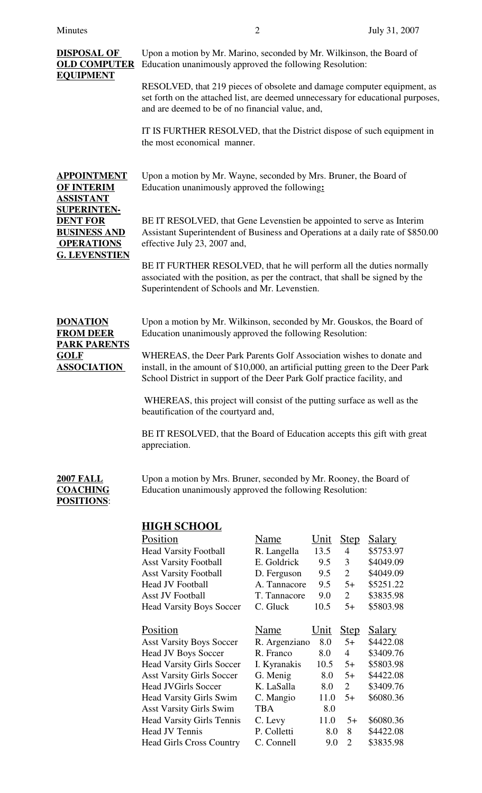| <b>DISPOSAL OF</b><br><b>OLD COMPUTER</b><br><b>EQUIPMENT</b>                     | Upon a motion by Mr. Marino, seconded by Mr. Wilkinson, the Board of<br>Education unanimously approved the following Resolution:                                                                                                    |                             |            |                        |                        |  |
|-----------------------------------------------------------------------------------|-------------------------------------------------------------------------------------------------------------------------------------------------------------------------------------------------------------------------------------|-----------------------------|------------|------------------------|------------------------|--|
|                                                                                   | RESOLVED, that 219 pieces of obsolete and damage computer equipment, as<br>set forth on the attached list, are deemed unnecessary for educational purposes,<br>and are deemed to be of no financial value, and,                     |                             |            |                        |                        |  |
|                                                                                   | IT IS FURTHER RESOLVED, that the District dispose of such equipment in<br>the most economical manner.                                                                                                                               |                             |            |                        |                        |  |
| <b>APPOINTMENT</b><br><b>OF INTERIM</b><br><b>ASSISTANT</b>                       | Upon a motion by Mr. Wayne, seconded by Mrs. Bruner, the Board of<br>Education unanimously approved the following:                                                                                                                  |                             |            |                        |                        |  |
| <b>SUPERINTEN-</b><br><b>DENT FOR</b><br><b>BUSINESS AND</b><br><b>OPERATIONS</b> | BE IT RESOLVED, that Gene Levenstien be appointed to serve as Interim<br>Assistant Superintendent of Business and Operations at a daily rate of \$850.00<br>effective July 23, 2007 and,                                            |                             |            |                        |                        |  |
| <b>G. LEVENSTIEN</b>                                                              | BE IT FURTHER RESOLVED, that he will perform all the duties normally<br>associated with the position, as per the contract, that shall be signed by the<br>Superintendent of Schools and Mr. Levenstien.                             |                             |            |                        |                        |  |
| <b>DONATION</b><br><b>FROM DEER</b>                                               | Upon a motion by Mr. Wilkinson, seconded by Mr. Gouskos, the Board of<br>Education unanimously approved the following Resolution:                                                                                                   |                             |            |                        |                        |  |
| <b>PARK PARENTS</b><br><b>GOLF</b><br><b>ASSOCIATION</b>                          | WHEREAS, the Deer Park Parents Golf Association wishes to donate and<br>install, in the amount of \$10,000, an artificial putting green to the Deer Park<br>School District in support of the Deer Park Golf practice facility, and |                             |            |                        |                        |  |
|                                                                                   | WHEREAS, this project will consist of the putting surface as well as the<br>beautification of the courtyard and,                                                                                                                    |                             |            |                        |                        |  |
|                                                                                   | BE IT RESOLVED, that the Board of Education accepts this gift with great<br>appreciation.                                                                                                                                           |                             |            |                        |                        |  |
| <b>2007 FALL</b><br><b>COACHING</b><br><b>POSITIONS:</b>                          | Upon a motion by Mrs. Bruner, seconded by Mr. Rooney, the Board of<br>Education unanimously approved the following Resolution:                                                                                                      |                             |            |                        |                        |  |
|                                                                                   | <b>HIGH SCHOOL</b>                                                                                                                                                                                                                  |                             |            |                        |                        |  |
|                                                                                   | Position                                                                                                                                                                                                                            | <b>Name</b>                 | $Unit$     | <u>Step</u>            | <b>Salary</b>          |  |
|                                                                                   | <b>Head Varsity Football</b>                                                                                                                                                                                                        | R. Langella                 | 13.5       | $\overline{4}$         | \$5753.97              |  |
|                                                                                   | <b>Asst Varsity Football</b>                                                                                                                                                                                                        | E. Goldrick                 | 9.5        | 3                      | \$4049.09              |  |
|                                                                                   | <b>Asst Varsity Football</b><br><b>Head JV Football</b>                                                                                                                                                                             | D. Ferguson<br>A. Tannacore | 9.5        | $\overline{2}$<br>$5+$ | \$4049.09              |  |
|                                                                                   | <b>Asst JV Football</b>                                                                                                                                                                                                             | T. Tannacore                | 9.5<br>9.0 | $\overline{2}$         | \$5251.22<br>\$3835.98 |  |
|                                                                                   | <b>Head Varsity Boys Soccer</b>                                                                                                                                                                                                     | C. Gluck                    | 10.5       | $5+$                   | \$5803.98              |  |
|                                                                                   |                                                                                                                                                                                                                                     |                             |            |                        |                        |  |
|                                                                                   | Position                                                                                                                                                                                                                            | Name                        | Unit       | <b>Step</b>            | <b>Salary</b>          |  |
|                                                                                   | <b>Asst Varsity Boys Soccer</b><br>Head JV Boys Soccer                                                                                                                                                                              | R. Argenziano<br>R. Franco  | 8.0<br>8.0 | $5+$<br>$\overline{4}$ | \$4422.08<br>\$3409.76 |  |
|                                                                                   | <b>Head Varsity Girls Soccer</b>                                                                                                                                                                                                    | I. Kyranakis                | 10.5       | $5+$                   | \$5803.98              |  |
|                                                                                   | <b>Asst Varsity Girls Soccer</b>                                                                                                                                                                                                    | G. Menig                    | 8.0        | $5+$                   | \$4422.08              |  |

Head JVGirls Soccer K. LaSalla 8.0 2 \$3409.76 Head Varsity Girls Swim C. Mangio 11.0 5+ \$6080.36

Head Varsity Girls Tennis C. Levy 11.0 5+ \$6080.36 Head JV Tennis P. Colletti 8.0 8 \$4422.08 Head Girls Cross Country C. Connell 9.0 2 \$3835.98

Asst Varsity Girls Swim TBA 8.0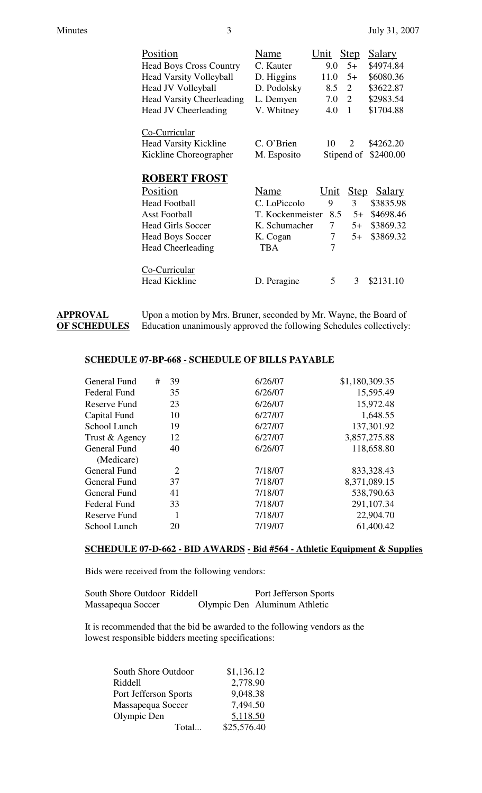| Position                         | Name             | Unit | <b>Step</b>    | <u>Salary</u> |
|----------------------------------|------------------|------|----------------|---------------|
| <b>Head Boys Cross Country</b>   | C. Kauter        | 9.0  | $5+$           | \$4974.84     |
| <b>Head Varsity Volleyball</b>   | D. Higgins       | 11.0 | $5+$           | \$6080.36     |
| <b>Head JV Volleyball</b>        | D. Podolsky      | 8.5  | 2              | \$3622.87     |
| <b>Head Varsity Cheerleading</b> | L. Demyen        | 7.0  | $\overline{2}$ | \$2983.54     |
| <b>Head JV Cheerleading</b>      | V. Whitney       | 4.0  | 1              | \$1704.88     |
| Co-Curricular                    |                  |      |                |               |
| <b>Head Varsity Kickline</b>     | C. O'Brien       | 10   | 2              | \$4262.20     |
| Kickline Choreographer           | M. Esposito      |      | Stipend of     | \$2400.00     |
| <b>ROBERT FROST</b>              |                  |      |                |               |
| Position                         | Name             | Unit | <b>Step</b>    | Salary        |
| <b>Head Football</b>             | C. LoPiccolo     | 9    | 3              | \$3835.98     |
| <b>Asst Football</b>             | T. Kockenmeister | 8.5  | $5+$           | \$4698.46     |
| <b>Head Girls Soccer</b>         | K. Schumacher    | 7    | $5+$           | \$3869.32     |
| <b>Head Boys Soccer</b>          | K. Cogan         | 7    | $5+$           | \$3869.32     |
| <b>Head Cheerleading</b>         | <b>TBA</b>       | 7    |                |               |
| Co-Curricular                    |                  |      |                |               |
| <b>Head Kickline</b>             | D. Peragine      | 5    | 3              | \$2131.10     |

**APPROVAL** Upon a motion by Mrs. Bruner, seconded by Mr. Wayne, the Board of **OF SCHEDULES** Education unanimously approved the following Schedules collectively: Education unanimously approved the following Schedules collectively:

### **SCHEDULE 07-BP-668 - SCHEDULE OF BILLS PAYABLE**

| <b>General Fund</b> | # | 39             | 6/26/07 | \$1,180,309.35 |
|---------------------|---|----------------|---------|----------------|
| Federal Fund        |   | 35             | 6/26/07 | 15,595.49      |
| Reserve Fund        |   | 23             | 6/26/07 | 15,972.48      |
| Capital Fund        |   | 10             | 6/27/07 | 1,648.55       |
| School Lunch        |   | 19             | 6/27/07 | 137,301.92     |
| Trust & Agency      |   | 12             | 6/27/07 | 3,857,275.88   |
| General Fund        |   | 40             | 6/26/07 | 118,658.80     |
| (Medicare)          |   |                |         |                |
| <b>General Fund</b> |   | $\overline{2}$ | 7/18/07 | 833,328.43     |
| General Fund        |   | 37             | 7/18/07 | 8,371,089.15   |
| General Fund        |   | 41             | 7/18/07 | 538,790.63     |
| Federal Fund        |   | 33             | 7/18/07 | 291,107.34     |
| Reserve Fund        |   | 1              | 7/18/07 | 22,904.70      |
| School Lunch        |   | 20             | 7/19/07 | 61,400.42      |
|                     |   |                |         |                |

## **SCHEDULE 07-D-662 - BID AWARDS - Bid #564 - Athletic Equipment & Supplies**

Bids were received from the following vendors:

| South Shore Outdoor Riddell | Port Jefferson Sports         |
|-----------------------------|-------------------------------|
| Massapequa Soccer           | Olympic Den Aluminum Athletic |

It is recommended that the bid be awarded to the following vendors as the lowest responsible bidders meeting specifications:

| <b>South Shore Outdoor</b> | \$1,136.12  |
|----------------------------|-------------|
| Riddell                    | 2,778.90    |
| Port Jefferson Sports      | 9,048.38    |
| Massapequa Soccer          | 7,494.50    |
| Olympic Den                | 5,118.50    |
| Total                      | \$25,576.40 |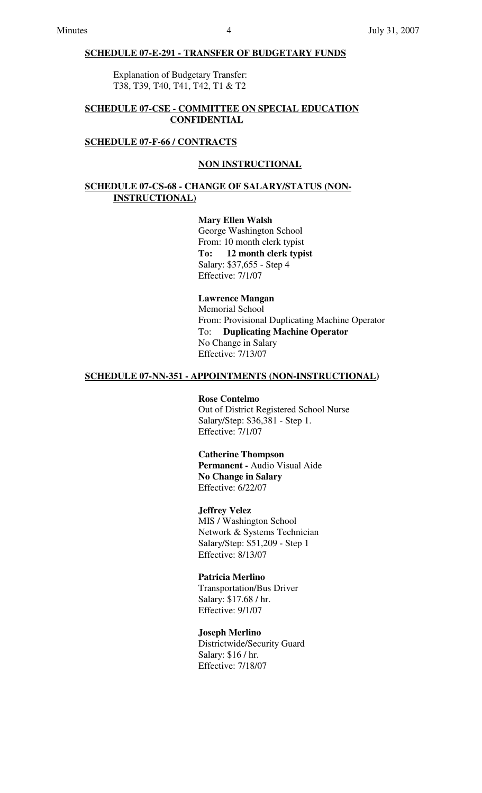### **SCHEDULE 07-E-291 - TRANSFER OF BUDGETARY FUNDS**

Explanation of Budgetary Transfer: T38, T39, T40, T41, T42, T1 & T2

### **SCHEDULE 07-CSE - COMMITTEE ON SPECIAL EDUCATION CONFIDENTIAL**

#### **SCHEDULE 07-F-66 / CONTRACTS**

#### **NON INSTRUCTIONAL**

### **SCHEDULE 07-CS-68 - CHANGE OF SALARY/STATUS (NON-INSTRUCTIONAL)**

### **Mary Ellen Walsh**

George Washington School From: 10 month clerk typist **To: 12 month clerk typist** Salary: \$37,655 - Step 4 Effective: 7/1/07

# **Lawrence Mangan**

Memorial School From: Provisional Duplicating Machine Operator To: **Duplicating Machine Operator** No Change in Salary Effective: 7/13/07

#### **SCHEDULE 07-NN-351 - APPOINTMENTS (NON-INSTRUCTIONAL)**

#### **Rose Contelmo**

Out of District Registered School Nurse Salary/Step: \$36,381 - Step 1. Effective: 7/1/07

## **Catherine Thompson Permanent -** Audio Visual Aide **No Change in Salary**

Effective: 6/22/07

### **Jeffrey Velez**

MIS / Washington School Network & Systems Technician Salary/Step: \$51,209 - Step 1 Effective: 8/13/07

### **Patricia Merlino**

Transportation/Bus Driver Salary: \$17.68 / hr. Effective: 9/1/07

### **Joseph Merlino**

Districtwide/Security Guard Salary: \$16 / hr. Effective: 7/18/07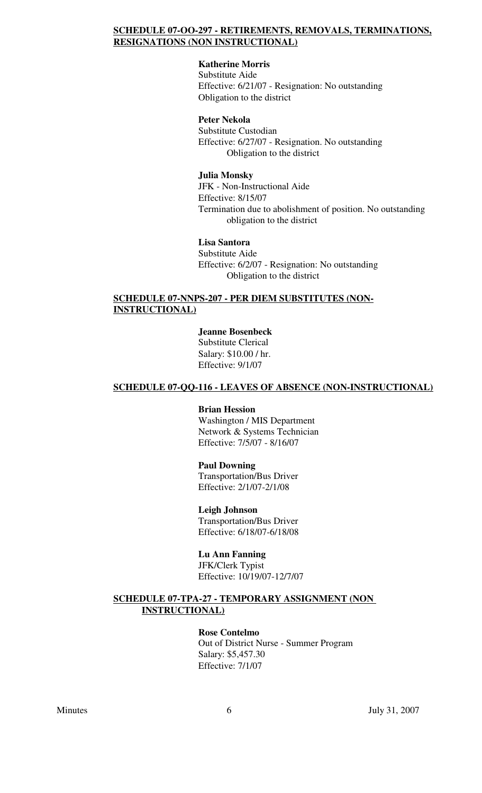## **SCHEDULE 07-OO-297 - RETIREMENTS, REMOVALS, TERMINATIONS, RESIGNATIONS (NON INSTRUCTIONAL)**

# **Katherine Morris**

Substitute Aide Effective: 6/21/07 - Resignation: No outstanding Obligation to the district

## **Peter Nekola**

Substitute Custodian Effective: 6/27/07 - Resignation. No outstanding Obligation to the district

### **Julia Monsky**

JFK - Non-Instructional Aide Effective: 8/15/07 Termination due to abolishment of position. No outstanding obligation to the district

## **Lisa Santora**

Substitute Aide Effective: 6/2/07 - Resignation: No outstanding Obligation to the district

### **SCHEDULE 07-NNPS-207 - PER DIEM SUBSTITUTES (NON-INSTRUCTIONAL)**

## **Jeanne Bosenbeck**

Substitute Clerical Salary: \$10.00 / hr. Effective: 9/1/07

## **SCHEDULE 07-QQ-116 - LEAVES OF ABSENCE (NON-INSTRUCTIONAL)**

### **Brian Hession**

Washington / MIS Department Network & Systems Technician Effective: 7/5/07 - 8/16/07

#### **Paul Downing**

Transportation/Bus Driver Effective: 2/1/07-2/1/08

### **Leigh Johnson**

Transportation/Bus Driver Effective: 6/18/07-6/18/08

### **Lu Ann Fanning**

JFK/Clerk Typist Effective: 10/19/07-12/7/07

## **SCHEDULE 07-TPA-27 - TEMPORARY ASSIGNMENT (NON INSTRUCTIONAL)**

### **Rose Contelmo**

Out of District Nurse - Summer Program Salary: \$5,457.30 Effective: 7/1/07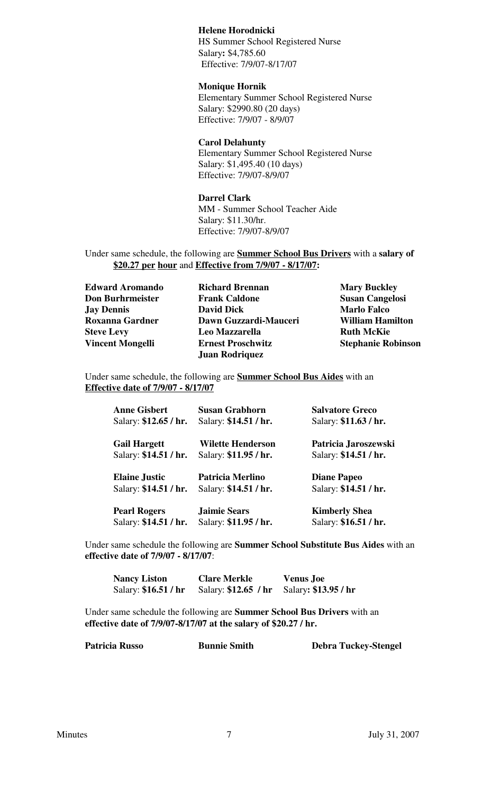### **Helene Horodnicki**

HS Summer School Registered Nurse Salary**:** \$4,785.60 Effective: 7/9/07-8/17/07

#### **Monique Hornik**

Elementary Summer School Registered Nurse Salary: \$2990.80 (20 days) Effective: 7/9/07 - 8/9/07

#### **Carol Delahunty**

Elementary Summer School Registered Nurse Salary: \$1,495.40 (10 days) Effective: 7/9/07-8/9/07

#### **Darrel Clark**

MM - Summer School Teacher Aide Salary: \$11.30/hr. Effective: 7/9/07-8/9/07

Under same schedule, the following are **Summer School Bus Drivers** with a **salary of \$20.27 per hour** and **Effective from 7/9/07 - 8/17/07:**

| <b>Edward Aromando</b>  | <b>Richard Brennan</b>   | <b>Mary Buckley</b>       |
|-------------------------|--------------------------|---------------------------|
| <b>Don Burhrmeister</b> | <b>Frank Caldone</b>     | <b>Susan Cangelosi</b>    |
| <b>Jay Dennis</b>       | <b>David Dick</b>        | <b>Marlo Falco</b>        |
| Roxanna Gardner         | Dawn Guzzardi-Mauceri    | <b>William Hamilton</b>   |
| <b>Steve Levy</b>       | Leo Mazzarella           | <b>Ruth McKie</b>         |
| <b>Vincent Mongelli</b> | <b>Ernest Proschwitz</b> | <b>Stephanie Robinson</b> |
|                         | <b>Juan Rodriquez</b>    |                           |
|                         |                          |                           |

Under same schedule, the following are **Summer School Bus Aides** with an **Effective date of 7/9/07 - 8/17/07**

| <b>Anne Gisbert</b>   | <b>Susan Grabhorn</b>    | <b>Salvatore Greco</b> |
|-----------------------|--------------------------|------------------------|
| Salary: \$12.65 / hr. | Salary: \$14.51 / hr.    | Salary: \$11.63 / hr.  |
| <b>Gail Hargett</b>   | <b>Wilette Henderson</b> | Patricia Jaroszewski   |
| Salary: \$14.51 / hr. | Salary: \$11.95 / hr.    | Salary: \$14.51 / hr.  |
| <b>Elaine Justic</b>  | Patricia Merlino         | <b>Diane Papeo</b>     |
| Salary: \$14.51 / hr. | Salary: \$14.51 / hr.    | Salary: \$14.51 / hr.  |
| <b>Pearl Rogers</b>   | <b>Jaimie Sears</b>      | <b>Kimberly Shea</b>   |
| Salary: \$14.51 / hr. | Salary: \$11.95 / hr.    | Salary: \$16.51 / hr.  |

Under same schedule the following are **Summer School Substitute Bus Aides** with an **effective date of 7/9/07 - 8/17/07**:

| <b>Nancy Liston</b>  | <b>Clare Merkle</b>                       | <b>Venus Joe</b> |
|----------------------|-------------------------------------------|------------------|
| Salary: \$16.51 / hr | Salary: \$12.65 / hr Salary: \$13.95 / hr |                  |

Under same schedule the following are **Summer School Bus Drivers** with an **effective date of 7/9/07-8/17/07 at the salary of \$20.27 / hr.**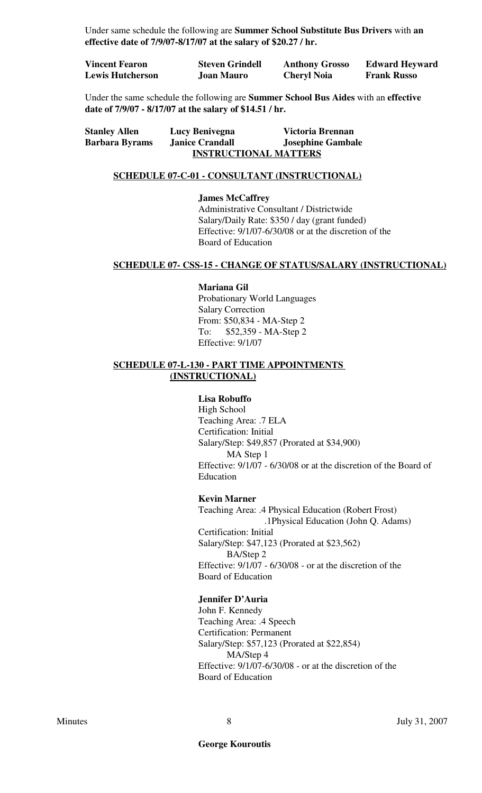Under same schedule the following are **Summer School Substitute Bus Drivers** with **an effective date of 7/9/07-8/17/07 at the salary of \$20.27 / hr.**

| <b>Vincent Fearon</b>   | <b>Steven Grindell</b> | <b>Anthony Grosso</b> | <b>Edward Heyward</b> |
|-------------------------|------------------------|-----------------------|-----------------------|
| <b>Lewis Hutcherson</b> | <b>Joan Mauro</b>      | <b>Cheryl Noia</b>    | <b>Frank Russo</b>    |

Under the same schedule the following are **Summer School Bus Aides** with an **effective date of 7/9/07 - 8/17/07 at the salary of \$14.51 / hr.**

| <b>Stanley Allen</b>  | Lucy Benivegna               | Victoria Brennan         |
|-----------------------|------------------------------|--------------------------|
| <b>Barbara Byrams</b> | <b>Janice Crandall</b>       | <b>Josephine Gambale</b> |
|                       | <b>INSTRUCTIONAL MATTERS</b> |                          |

#### **SCHEDULE 07-C-01 - CONSULTANT (INSTRUCTIONAL)**

**James McCaffrey** Administrative Consultant / Districtwide Salary/Daily Rate: \$350 / day (grant funded) Effective: 9/1/07-6/30/08 or at the discretion of the Board of Education

### **SCHEDULE 07- CSS-15 - CHANGE OF STATUS/SALARY (INSTRUCTIONAL)**

#### **Mariana Gil**

Probationary World Languages Salary Correction From: \$50,834 - MA-Step 2 To: \$52,359 - MA-Step 2 Effective: 9/1/07

### **SCHEDULE 07-L-130 - PART TIME APPOINTMENTS (INSTRUCTIONAL)**

#### **Lisa Robuffo**

High School Teaching Area: .7 ELA Certification: Initial Salary/Step: \$49,857 (Prorated at \$34,900) MA Step 1 Effective: 9/1/07 - 6/30/08 or at the discretion of the Board of Education

#### **Kevin Marner**

Teaching Area: .4 Physical Education (Robert Frost) .1Physical Education (John Q. Adams) Certification: Initial Salary/Step: \$47,123 (Prorated at \$23,562) BA/Step 2 Effective: 9/1/07 - 6/30/08 - or at the discretion of the Board of Education

#### **Jennifer D'Auria**

John F. Kennedy Teaching Area: .4 Speech Certification: Permanent Salary/Step: \$57,123 (Prorated at \$22,854) MA/Step 4 Effective: 9/1/07-6/30/08 - or at the discretion of the Board of Education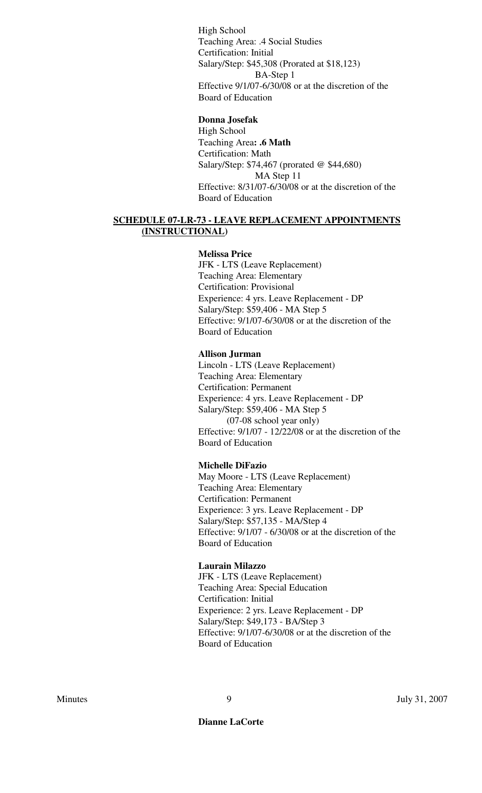High School Teaching Area: .4 Social Studies Certification: Initial Salary/Step: \$45,308 (Prorated at \$18,123) BA-Step 1 Effective 9/1/07-6/30/08 or at the discretion of the Board of Education

### **Donna Josefak**

High School Teaching Area**: .6 Math** Certification: Math Salary/Step: \$74,467 (prorated @ \$44,680) MA Step 11 Effective: 8/31/07-6/30/08 or at the discretion of the Board of Education

### **SCHEDULE 07-LR-73 - LEAVE REPLACEMENT APPOINTMENTS (INSTRUCTIONAL)**

#### **Melissa Price**

JFK - LTS (Leave Replacement) Teaching Area: Elementary Certification: Provisional Experience: 4 yrs. Leave Replacement - DP Salary/Step: \$59,406 - MA Step 5 Effective: 9/1/07-6/30/08 or at the discretion of the Board of Education

### **Allison Jurman**

Lincoln - LTS (Leave Replacement) Teaching Area: Elementary Certification: Permanent Experience: 4 yrs. Leave Replacement - DP Salary/Step: \$59,406 - MA Step 5 (07-08 school year only) Effective: 9/1/07 - 12/22/08 or at the discretion of the Board of Education

### **Michelle DiFazio**

May Moore - LTS (Leave Replacement) Teaching Area: Elementary Certification: Permanent Experience: 3 yrs. Leave Replacement - DP Salary/Step: \$57,135 - MA/Step 4 Effective: 9/1/07 - 6/30/08 or at the discretion of the Board of Education

#### **Laurain Milazzo**

JFK - LTS (Leave Replacement) Teaching Area: Special Education Certification: Initial Experience: 2 yrs. Leave Replacement - DP Salary/Step: \$49,173 - BA/Step 3 Effective: 9/1/07-6/30/08 or at the discretion of the Board of Education

**Dianne LaCorte**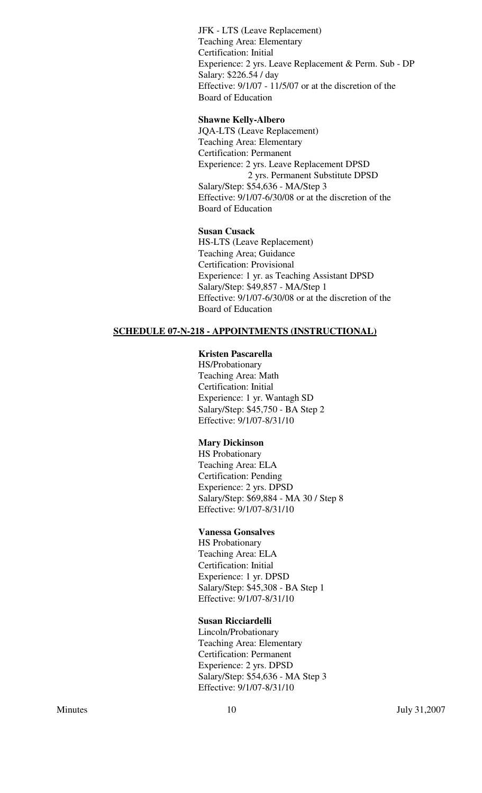JFK - LTS (Leave Replacement) Teaching Area: Elementary Certification: Initial Experience: 2 yrs. Leave Replacement & Perm. Sub - DP Salary: \$226.54 / day Effective: 9/1/07 - 11/5/07 or at the discretion of the Board of Education

## **Shawne Kelly-Albero**

JQA-LTS (Leave Replacement) Teaching Area: Elementary Certification: Permanent Experience: 2 yrs. Leave Replacement DPSD 2 yrs. Permanent Substitute DPSD Salary/Step: \$54,636 - MA/Step 3 Effective: 9/1/07-6/30/08 or at the discretion of the Board of Education

### **Susan Cusack**

HS-LTS (Leave Replacement) Teaching Area; Guidance Certification: Provisional Experience: 1 yr. as Teaching Assistant DPSD Salary/Step: \$49,857 - MA/Step 1 Effective: 9/1/07-6/30/08 or at the discretion of the Board of Education

## **SCHEDULE 07-N-218 - APPOINTMENTS (INSTRUCTIONAL)**

### **Kristen Pascarella**

HS/Probationary Teaching Area: Math Certification: Initial Experience: 1 yr. Wantagh SD Salary/Step: \$45,750 - BA Step 2 Effective: 9/1/07-8/31/10

### **Mary Dickinson**

HS Probationary Teaching Area: ELA Certification: Pending Experience: 2 yrs. DPSD Salary/Step: \$69,884 - MA 30 / Step 8 Effective: 9/1/07-8/31/10

### **Vanessa Gonsalves**

HS Probationary Teaching Area: ELA Certification: Initial Experience: 1 yr. DPSD Salary/Step: \$45,308 - BA Step 1 Effective: 9/1/07-8/31/10

#### **Susan Ricciardelli**

Lincoln/Probationary Teaching Area: Elementary Certification: Permanent Experience: 2 yrs. DPSD Salary/Step: \$54,636 - MA Step 3 Effective: 9/1/07-8/31/10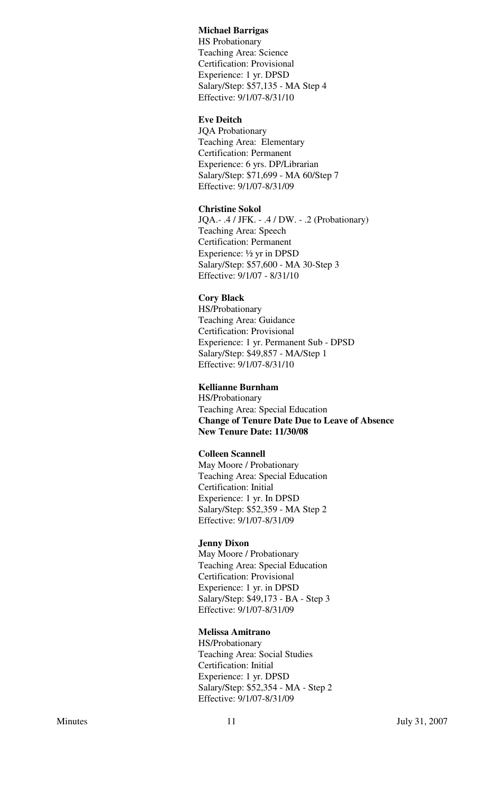#### **Michael Barrigas**

HS Probationary Teaching Area: Science Certification: Provisional Experience: 1 yr. DPSD Salary/Step: \$57,135 - MA Step 4 Effective: 9/1/07-8/31/10

## **Eve Deitch**

JQA Probationary Teaching Area: Elementary Certification: Permanent Experience: 6 yrs. DP/Librarian Salary/Step: \$71,699 - MA 60/Step 7 Effective: 9/1/07-8/31/09

#### **Christine Sokol**

JQA.- .4 / JFK. - .4 / DW. - .2 (Probationary) Teaching Area: Speech Certification: Permanent Experience: ½ yr in DPSD Salary/Step: \$57,600 - MA 30-Step 3 Effective: 9/1/07 - 8/31/10

### **Cory Black**

HS/Probationary Teaching Area: Guidance Certification: Provisional Experience: 1 yr. Permanent Sub - DPSD Salary/Step: \$49,857 - MA/Step 1 Effective: 9/1/07-8/31/10

### **Kellianne Burnham**

HS/Probationary Teaching Area: Special Education **Change of Tenure Date Due to Leave of Absence New Tenure Date: 11/30/08**

## **Colleen Scannell**

May Moore / Probationary Teaching Area: Special Education Certification: Initial Experience: 1 yr. In DPSD Salary/Step: \$52,359 - MA Step 2 Effective: 9/1/07-8/31/09

#### **Jenny Dixon**

May Moore / Probationary Teaching Area: Special Education Certification: Provisional Experience: 1 yr. in DPSD Salary/Step: \$49,173 - BA - Step 3 Effective: 9/1/07-8/31/09

#### **Melissa Amitrano**

HS/Probationary Teaching Area: Social Studies Certification: Initial Experience: 1 yr. DPSD Salary/Step: \$52,354 - MA - Step 2 Effective: 9/1/07-8/31/09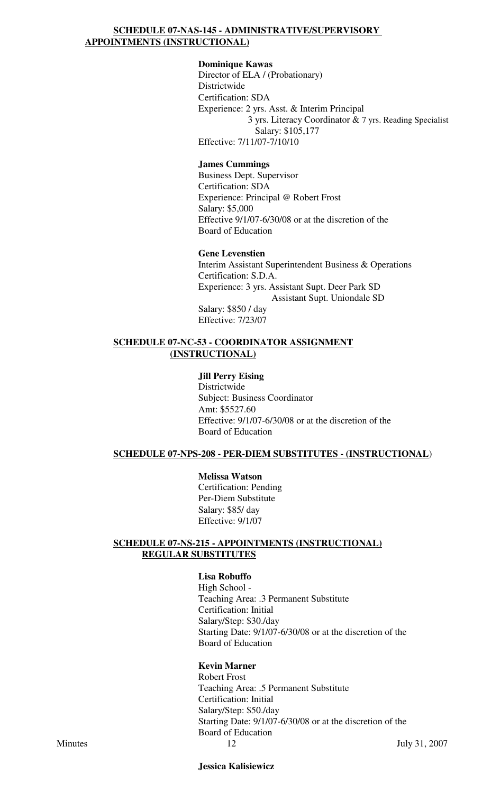## **SCHEDULE 07-NAS-145 - ADMINISTRATIVE/SUPERVISORY APPOINTMENTS (INSTRUCTIONAL)**

### **Dominique Kawas**

Director of ELA / (Probationary) Districtwide Certification: SDA Experience: 2 yrs. Asst. & Interim Principal 3 yrs. Literacy Coordinator & 7 yrs. Reading Specialist Salary: \$105,177 Effective: 7/11/07-7/10/10

### **James Cummings**

Business Dept. Supervisor Certification: SDA Experience: Principal @ Robert Frost Salary: \$5,000 Effective 9/1/07-6/30/08 or at the discretion of the Board of Education

### **Gene Levenstien**

Interim Assistant Superintendent Business & Operations Certification: S.D.A. Experience: 3 yrs. Assistant Supt. Deer Park SD Assistant Supt. Uniondale SD Salary: \$850 / day Effective: 7/23/07

### **SCHEDULE 07-NC-53 - COORDINATOR ASSIGNMENT (INSTRUCTIONAL)**

### **Jill Perry Eising**

Districtwide Subject: Business Coordinator Amt: \$5527.60 Effective: 9/1/07-6/30/08 or at the discretion of the Board of Education

### **SCHEDULE 07-NPS-208 - PER-DIEM SUBSTITUTES - (INSTRUCTIONAL**)

### **Melissa Watson**

Certification: Pending Per-Diem Substitute Salary: \$85/ day Effective: 9/1/07

### **SCHEDULE 07-NS-215 - APPOINTMENTS (INSTRUCTIONAL) REGULAR SUBSTITUTES**

#### **Lisa Robuffo**

High School - Teaching Area: .3 Permanent Substitute Certification: Initial Salary/Step: \$30./day Starting Date: 9/1/07-6/30/08 or at the discretion of the Board of Education

### **Kevin Marner**

Robert Frost Teaching Area: .5 Permanent Substitute Certification: Initial Salary/Step: \$50./day Starting Date: 9/1/07-6/30/08 or at the discretion of the Board of Education Minutes 12 July 31, 2007

**Jessica Kalisiewicz**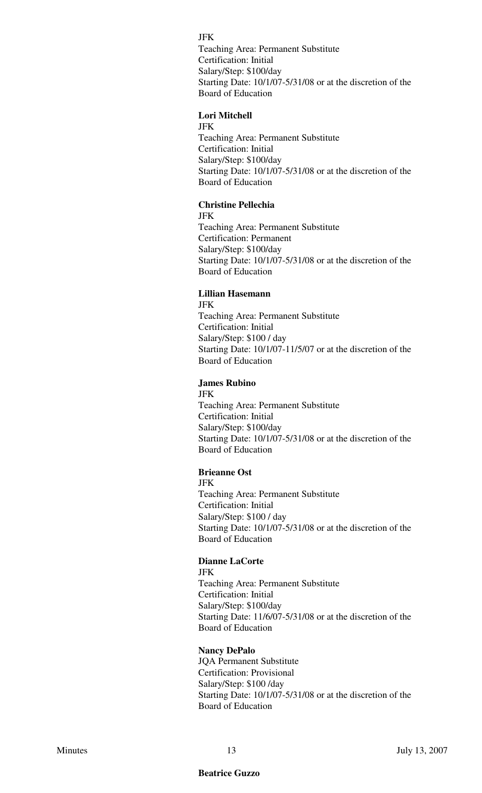JFK Teaching Area: Permanent Substitute Certification: Initial Salary/Step: \$100/day Starting Date: 10/1/07-5/31/08 or at the discretion of the Board of Education

## **Lori Mitchell**

JFK

Teaching Area: Permanent Substitute Certification: Initial Salary/Step: \$100/day Starting Date: 10/1/07-5/31/08 or at the discretion of the Board of Education

## **Christine Pellechia**

JFK Teaching Area: Permanent Substitute Certification: Permanent Salary/Step: \$100/day Starting Date: 10/1/07-5/31/08 or at the discretion of the Board of Education

### **Lillian Hasemann**

JFK Teaching Area: Permanent Substitute Certification: Initial Salary/Step: \$100 / day Starting Date: 10/1/07-11/5/07 or at the discretion of the Board of Education

## **James Rubino**

JFK Teaching Area: Permanent Substitute Certification: Initial Salary/Step: \$100/day Starting Date: 10/1/07-5/31/08 or at the discretion of the Board of Education

#### **Brieanne Ost**

JFK Teaching Area: Permanent Substitute Certification: Initial Salary/Step: \$100 / day Starting Date: 10/1/07-5/31/08 or at the discretion of the Board of Education

#### **Dianne LaCorte** JFK

Teaching Area: Permanent Substitute Certification: Initial Salary/Step: \$100/day Starting Date: 11/6/07-5/31/08 or at the discretion of the Board of Education

### **Nancy DePalo**

JQA Permanent Substitute Certification: Provisional Salary/Step: \$100 /day Starting Date: 10/1/07-5/31/08 or at the discretion of the Board of Education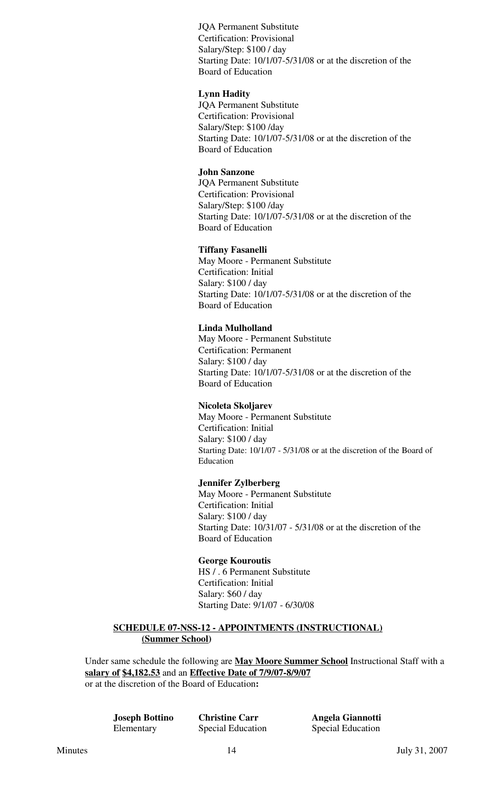JQA Permanent Substitute Certification: Provisional Salary/Step: \$100 / day Starting Date: 10/1/07-5/31/08 or at the discretion of the Board of Education

### **Lynn Hadity**

JQA Permanent Substitute Certification: Provisional Salary/Step: \$100 /day Starting Date: 10/1/07-5/31/08 or at the discretion of the Board of Education

### **John Sanzone**

JQA Permanent Substitute Certification: Provisional Salary/Step: \$100 /day Starting Date: 10/1/07-5/31/08 or at the discretion of the Board of Education

### **Tiffany Fasanelli**

May Moore - Permanent Substitute Certification: Initial Salary: \$100 / day Starting Date: 10/1/07-5/31/08 or at the discretion of the Board of Education

### **Linda Mulholland**

May Moore - Permanent Substitute Certification: Permanent Salary: \$100 / day Starting Date: 10/1/07-5/31/08 or at the discretion of the Board of Education

#### **Nicoleta Skoljarev**

May Moore - Permanent Substitute Certification: Initial Salary: \$100 / day Starting Date: 10/1/07 - 5/31/08 or at the discretion of the Board of Education

### **Jennifer Zylberberg**

May Moore - Permanent Substitute Certification: Initial Salary: \$100 / day Starting Date: 10/31/07 - 5/31/08 or at the discretion of the Board of Education

#### **George Kouroutis**

HS / . 6 Permanent Substitute Certification: Initial Salary: \$60 / day Starting Date: 9/1/07 - 6/30/08

## **SCHEDULE 07-NSS-12 - APPOINTMENTS (INSTRUCTIONAL) (Summer School)**

Under same schedule the following are **May Moore Summer School** Instructional Staff with a **salary of \$4,182.53** and an **Effective Date of 7/9/07-8/9/07** or at the discretion of the Board of Education**:**

**Joseph Bottino Christine Carr Angela Giannotti** Elementary Special Education Special Education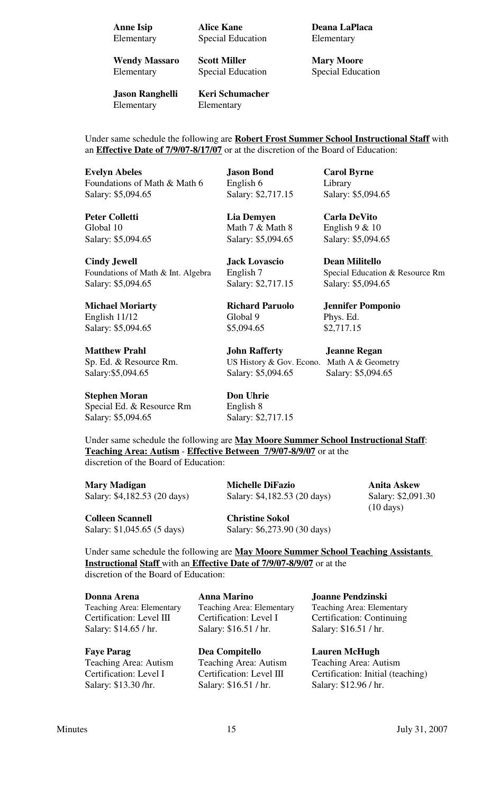Elementary Special Education Elementary

**Wendy Massaro Scott Miller Mary Moore** 

**Jason Ranghelli Keri Schumacher** Elementary Elementary

**Anne Isip Alice Kane Deana LaPlaca** 

Elementary Special Education Special Education

Under same schedule the following are **Robert Frost Summer School Instructional Staff** with an **Effective Date of 7/9/07-8/17/07** or at the discretion of the Board of Education:

**Evelyn Abeles Jason Bond Carol Byrne** Foundations of Math & Math 6 English 6 Library Salary: \$5,094.65 Salary: \$2,717.15 Salary: \$5,094.65

**Peter Colletti Lia Demyen Carla DeVito** Global 10 Math 7 & Math 8 English 9 & 10

**Cindy Jewell Jack Lovascio Dean Militello** Foundations of Math & Int. Algebra English 7 Special Education & Resource Rm Salary: \$5,094.65 Salary: \$2,717.15 Salary: \$5,094.65

**Michael Moriarty Richard Paruolo Jennifer Pomponio** English 11/12 Global 9 Phys. Ed. Salary: \$5,094.65 \$5,094.65 \$2,717.15

**Matthew Prahl John Rafferty Jeanne Regan** Sp. Ed. & Resource Rm. US History & Gov. Econo. Math A & Geometry

**Stephen Moran Don Uhrie** Special Ed. & Resource Rm English 8 Salary: \$5,094.65 Salary: \$2,717.15

Salary: \$5,094.65 Salary: \$5,094.65 Salary: \$5,094.65

Salary: \$5,094.65 Salary: \$5,094.65 Salary: \$5,094.65

Under same schedule the following are **May Moore Summer School Instructional Staff**: **Teaching Area: Autism** - **Effective Between 7/9/07-8/9/07** or at the discretion of the Board of Education:

**Mary Madigan Michelle DiFazio Anita Askew** Salary: \$4,182.53 (20 days) Salary: \$4,182.53 (20 days) Salary: \$2,091.30

(10 days)

**Colleen Scannell Christine Sokol**

Salary: \$1,045.65 (5 days) Salary: \$6,273.90 (30 days)

Under same schedule the following are **May Moore Summer School Teaching Assistants Instructional Staff** with an **Effective Date of 7/9/07-8/9/07** or at the discretion of the Board of Education:

**Donna Arena Anna Marino Joanne Pendzinski** Teaching Area: Elementary Teaching Area: Elementary Teaching Area: Elementary Certification: Level III Certification: Level I Certification: Continuing Salary: \$14.65 / hr. Salary: \$16.51 / hr. Salary: \$16.51 / hr.

**Faye Parag Dea Compitello Lauren McHugh** Teaching Area: Autism Teaching Area: Autism Teaching Area: Autism Salary: \$13.30 /hr. Salary: \$16.51 / hr. Salary: \$12.96 / hr.

Certification: Level I Certification: Level III Certification: Initial (teaching)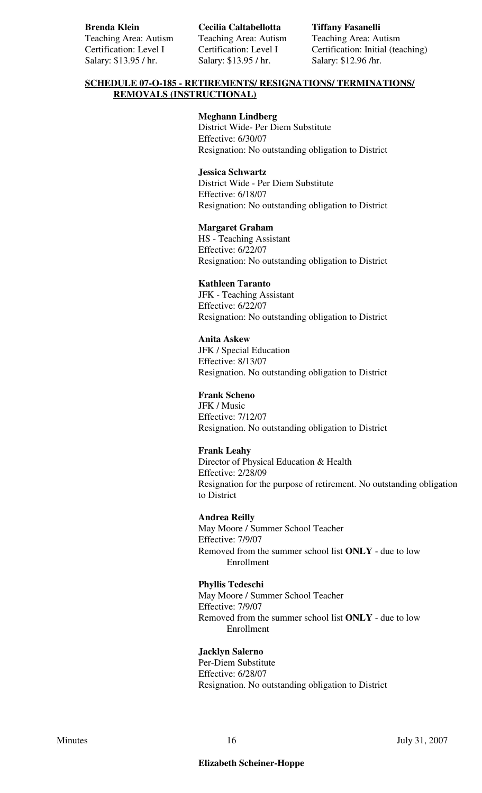Teaching Area: Autism Teaching Area: Autism Teaching Area: Autism Salary: \$13.95 / hr. Salary: \$13.95 / hr. Salary: \$12.96 / hr.

**Brenda Klein Cecilia Caltabellotta Tiffany Fasanelli**

Certification: Level I Certification: Level I Certification: Initial (teaching)

## **SCHEDULE 07-O-185 - RETIREMENTS/ RESIGNATIONS/ TERMINATIONS/ REMOVALS (INSTRUCTIONAL)**

## **Meghann Lindberg**

District Wide- Per Diem Substitute Effective: 6/30/07 Resignation: No outstanding obligation to District

### **Jessica Schwartz**

District Wide - Per Diem Substitute Effective: 6/18/07 Resignation: No outstanding obligation to District

## **Margaret Graham**

HS - Teaching Assistant Effective: 6/22/07 Resignation: No outstanding obligation to District

## **Kathleen Taranto**

JFK - Teaching Assistant Effective: 6/22/07 Resignation: No outstanding obligation to District

## **Anita Askew**

JFK / Special Education Effective: 8/13/07 Resignation. No outstanding obligation to District

### **Frank Scheno**

JFK / Music Effective: 7/12/07 Resignation. No outstanding obligation to District

## **Frank Leahy**

Director of Physical Education & Health Effective: 2/28/09 Resignation for the purpose of retirement. No outstanding obligation to District

### **Andrea Reilly**

May Moore / Summer School Teacher Effective: 7/9/07 Removed from the summer school list **ONLY** - due to low Enrollment

### **Phyllis Tedeschi**

May Moore / Summer School Teacher Effective: 7/9/07 Removed from the summer school list **ONLY** - due to low Enrollment

### **Jacklyn Salerno**

Per-Diem Substitute Effective: 6/28/07 Resignation. No outstanding obligation to District